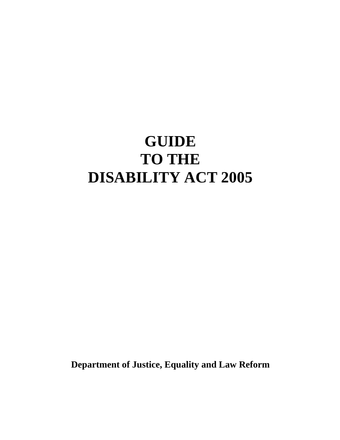# **GUIDE TO THE DISABILITY ACT 2005**

**Department of Justice, Equality and Law Reform**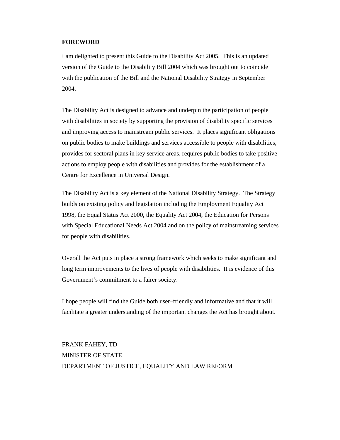#### **FOREWORD**

I am delighted to present this Guide to the Disability Act 2005. This is an updated version of the Guide to the Disability Bill 2004 which was brought out to coincide with the publication of the Bill and the National Disability Strategy in September 2004.

The Disability Act is designed to advance and underpin the participation of people with disabilities in society by supporting the provision of disability specific services and improving access to mainstream public services. It places significant obligations on public bodies to make buildings and services accessible to people with disabilities, provides for sectoral plans in key service areas, requires public bodies to take positive actions to employ people with disabilities and provides for the establishment of a Centre for Excellence in Universal Design.

The Disability Act is a key element of the National Disability Strategy. The Strategy builds on existing policy and legislation including the Employment Equality Act 1998, the Equal Status Act 2000, the Equality Act 2004, the Education for Persons with Special Educational Needs Act 2004 and on the policy of mainstreaming services for people with disabilities.

Overall the Act puts in place a strong framework which seeks to make significant and long term improvements to the lives of people with disabilities. It is evidence of this Government's commitment to a fairer society.

I hope people will find the Guide both user–friendly and informative and that it will facilitate a greater understanding of the important changes the Act has brought about.

FRANK FAHEY, TD MINISTER OF STATE DEPARTMENT OF JUSTICE, EQUALITY AND LAW REFORM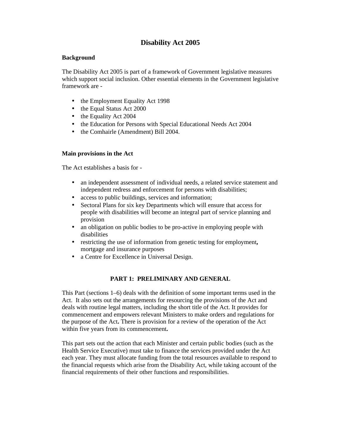## **Disability Act 2005**

## **Background**

The Disability Act 2005 is part of a framework of Government legislative measures which support social inclusion. Other essential elements in the Government legislative framework are -

- the Employment Equality Act 1998
- the Equal Status Act 2000
- the Equality Act 2004
- the Education for Persons with Special Educational Needs Act 2004
- the Comhairle (Amendment) Bill 2004.

## **Main provisions in the Act**

The Act establishes a basis for -

- an independent assessment of individual needs, a related service statement and independent redress and enforcement for persons with disabilities;
- access to public buildings, services and information;
- Sectoral Plans for six key Departments which will ensure that access for people with disabilities will become an integral part of service planning and provision
- an obligation on public bodies to be pro-active in employing people with disabilities
- restricting the use of information from genetic testing for employment**,**  mortgage and insurance purposes
- a Centre for Excellence in Universal Design.

## **PART 1: PRELIMINARY AND GENERAL**

This Part (sections 1–6) deals with the definition of some important terms used in the Act. It also sets out the arrangements for resourcing the provisions of the Act and deals with routine legal matters, including the short title of the Act. It provides for commencement and empowers relevant Ministers to make orders and regulations for the purpose of the Act**.** There is provision for a review of the operation of the Act within five years from its commencement**.**

This part sets out the action that each Minister and certain public bodies (such as the Health Service Executive) must take to finance the services provided under the Act each year. They must allocate funding from the total resources available to respond to the financial requests which arise from the Disability Act, while taking account of the financial requirements of their other functions and responsibilities.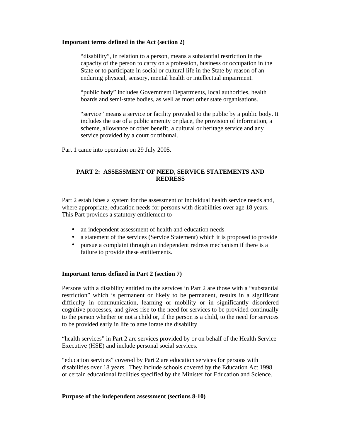#### **Important terms defined in the Act (section 2)**

"disability", in relation to a person, means a substantial restriction in the capacity of the person to carry on a profession, business or occupation in the State or to participate in social or cultural life in the State by reason of an enduring physical, sensory, mental health or intellectual impairment.

"public body" includes Government Departments, local authorities, health boards and semi-state bodies, as well as most other state organisations.

"service" means a service or facility provided to the public by a public body. It includes the use of a public amenity or place, the provision of information, a scheme, allowance or other benefit, a cultural or heritage service and any service provided by a court or tribunal.

Part 1 came into operation on 29 July 2005.

## **PART 2: ASSESSMENT OF NEED, SERVICE STATEMENTS AND REDRESS**

Part 2 establishes a system for the assessment of individual health service needs and, where appropriate, education needs for persons with disabilities over age 18 years. This Part provides a statutory entitlement to -

- an independent assessment of health and education needs
- a statement of the services (Service Statement) which it is proposed to provide
- pursue a complaint through an independent redress mechanism if there is a failure to provide these entitlements.

#### **Important terms defined in Part 2 (section 7)**

Persons with a disability entitled to the services in Part 2 are those with a "substantial restriction" which is permanent or likely to be permanent, results in a significant difficulty in communication, learning or mobility or in significantly disordered cognitive processes, and gives rise to the need for services to be provided continually to the person whether or not a child or, if the person is a child, to the need for services to be provided early in life to ameliorate the disability

"health services" in Part 2 are services provided by or on behalf of the Health Service Executive (HSE) and include personal social services.

"education services" covered by Part 2 are education services for persons with disabilities over 18 years. They include schools covered by the Education Act 1998 or certain educational facilities specified by the Minister for Education and Science.

#### **Purpose of the independent assessment (sections 8-10)**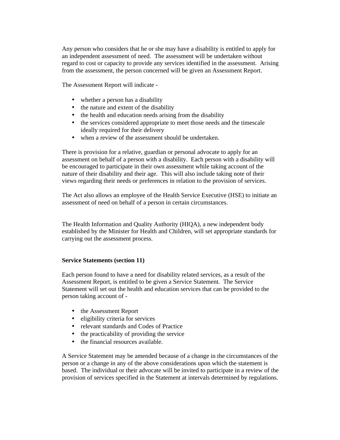Any person who considers that he or she may have a disability is entitled to apply for an independent assessment of need. The assessment will be undertaken without regard to cost or capacity to provide any services identified in the assessment. Arising from the assessment, the person concerned will be given an Assessment Report.

The Assessment Report will indicate -

- whether a person has a disability
- the nature and extent of the disability
- the health and education needs arising from the disability
- the services considered appropriate to meet those needs and the timescale ideally required for their delivery
- when a review of the assessment should be undertaken.

There is provision for a relative, guardian or personal advocate to apply for an assessment on behalf of a person with a disability. Each person with a disability will be encouraged to participate in their own assessment while taking account of the nature of their disability and their age. This will also include taking note of their views regarding their needs or preferences in relation to the provision of services.

The Act also allows an employee of the Health Service Executive (HSE) to initiate an assessment of need on behalf of a person in certain circumstances.

The Health Information and Quality Authority (HIQA), a new independent body established by the Minister for Health and Children*,* will set appropriate standards for carrying out the assessment process.

## **Service Statements (section 11)**

Each person found to have a need for disability related services, as a result of the Assessment Report, is entitled to be given a Service Statement. The Service Statement will set out the health and education services that can be provided to the person taking account of -

- the Assessment Report
- eligibility criteria for services
- relevant standards and Codes of Practice
- the practicability of providing the service
- the financial resources available.

A Service Statement may be amended because of a change in the circumstances of the person or a change in any of the above considerations upon which the statement is based. The individual or their advocate will be invited to participate in a review of the provision of services specified in the Statement at intervals determined by regulations.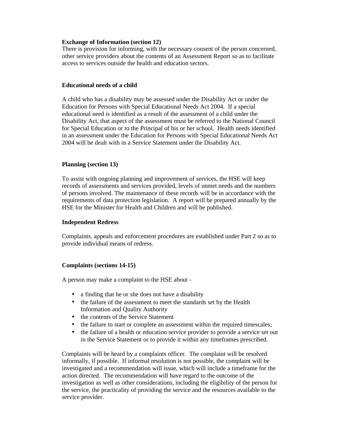#### **Exchange of Information (section 12)**

There is provision for informing, with the necessary consent of the person concerned, other service providers about the contents of an Assessment Report so as to facilitate access to services outside the health and education sectors.

#### **Educational needs of a child**

A child who has a disability may be assessed under the Disability Act or under the Education for Persons with Special Educational Needs Act 2004. If a special educational need is identified as a result of the assessment of a child under the Disability Act, that aspect of the assessment must be referred to the National Council for Special Education or to the Principal of his or her school. Health needs identified in an assessment under the Education for Persons with Special Educational Needs Act 2004 will be dealt with in a Service Statement under the Disability Act.

## **Planning (section 13)**

To assist with ongoing planning and improvement of services, the HSE will keep records of assessments and services provided, levels of unmet needs and the numbers of persons involved. The maintenance of these records will be in accordance with the requirements of data protection legislation. A report will be prepared annually by the HSE for the Minister for Health and Children and will be published.

## **Independent Redress**

Complaints, appeals and enforcement procedures are established under Part 2 so as to provide individual means of redress.

## **Complaints (sections 14-15)**

A person may make a complaint to the HSE about -

- a finding that he or she does not have a disability
- the failure of the assessment to meet the standards set by the Health Information and Quality Authority
- the contents of the Service Statement
- the failure to start or complete an assessment within the required timescales;
- the failure of a health or education service provider to provide a service set out in the Service Statement or to provide it within any timeframes prescribed.

Complaints will be heard by a complaints officer. The complaint will be resolved informally, if possible. If informal resolution is not possible, the complaint will be investigated and a recommendation will issue, which will include a timeframe for the action directed. The recommendation will have regard to the outcome of the investigation as well as other considerations, including the eligibility of the person for the service, the practicality of providing the service and the resources available to the service provider.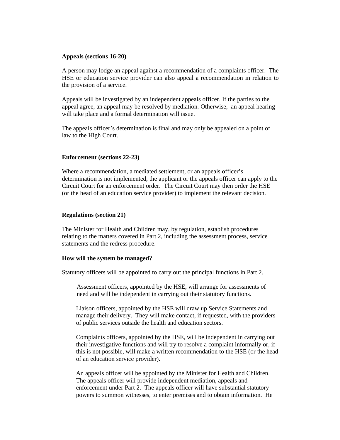#### **Appeals (sections 16-20)**

A person may lodge an appeal against a recommendation of a complaints officer. The HSE or education service provider can also appeal a recommendation in relation to the provision of a service.

Appeals will be investigated by an independent appeals officer. If the parties to the appeal agree, an appeal may be resolved by mediation. Otherwise, an appeal hearing will take place and a formal determination will issue.

The appeals officer's determination is final and may only be appealed on a point of law to the High Court.

#### **Enforcement (sections 22-23)**

Where a recommendation, a mediated settlement, or an appeals officer's determination is not implemented, the applicant or the appeals officer can apply to the Circuit Court for an enforcement order. The Circuit Court may then order the HSE (or the head of an education service provider) to implement the relevant decision.

#### **Regulations (section 21)**

The Minister for Health and Children may, by regulation, establish procedures relating to the matters covered in Part 2, including the assessment process, service statements and the redress procedure.

#### **How will the system be managed?**

Statutory officers will be appointed to carry out the principal functions in Part 2.

Assessment officers, appointed by the HSE, will arrange for assessments of need and will be independent in carrying out their statutory functions.

Liaison officers, appointed by the HSE will draw up Service Statements and manage their delivery. They will make contact, if requested, with the providers of public services outside the health and education sectors.

Complaints officers, appointed by the HSE, will be independent in carrying out their investigative functions and will try to resolve a complaint informally or, if this is not possible, will make a written recommendation to the HSE (or the head of an education service provider).

An appeals officer will be appointed by the Minister for Health and Children. The appeals officer will provide independent mediation, appeals and enforcement under Part 2. The appeals officer will have substantial statutory powers to summon witnesses, to enter premises and to obtain information. He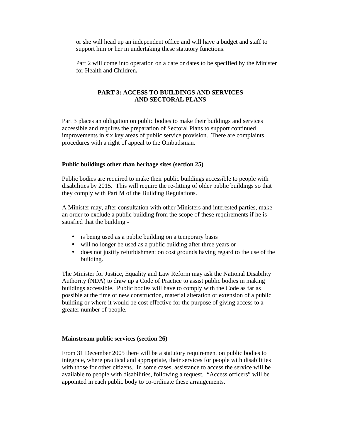or she will head up an independent office and will have a budget and staff to support him or her in undertaking these statutory functions.

Part 2 will come into operation on a date or dates to be specified by the Minister for Health and Children**.**

## **PART 3: ACCESS TO BUILDINGS AND SERVICES AND SECTORAL PLANS**

Part 3 places an obligation on public bodies to make their buildings and services accessible and requires the preparation of Sectoral Plans to support continued improvements in six key areas of public service provision. There are complaints procedures with a right of appeal to the Ombudsman.

#### **Public buildings other than heritage sites (section 25)**

Public bodies are required to make their public buildings accessible to people with disabilities by 2015. This will require the re-fitting of older public buildings so that they comply with Part M of the Building Regulations.

A Minister may, after consultation with other Ministers and interested parties, make an order to exclude a public building from the scope of these requirements if he is satisfied that the building -

- is being used as a public building on a temporary basis
- will no longer be used as a public building after three years or
- does not justify refurbishment on cost grounds having regard to the use of the building.

The Minister for Justice, Equality and Law Reform may ask the National Disability Authority (NDA) to draw up a Code of Practice to assist public bodies in making buildings accessible. Public bodies will have to comply with the Code as far as possible at the time of new construction, material alteration or extension of a public building or where it would be cost effective for the purpose of giving access to a greater number of people.

#### **Mainstream public services (section 26)**

From 31 December 2005 there will be a statutory requirement on public bodies to integrate, where practical and appropriate, their services for people with disabilities with those for other citizens. In some cases, assistance to access the service will be available to people with disabilities, following a request. "Access officers" will be appointed in each public body to co-ordinate these arrangements.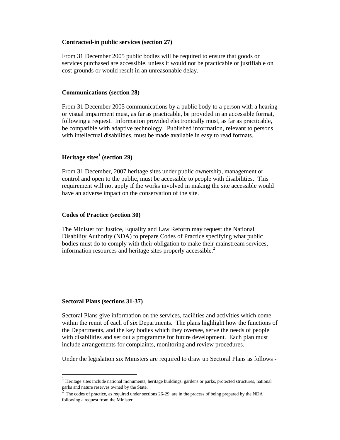#### **Contracted-in public services (section 27)**

From 31 December 2005 public bodies will be required to ensure that goods or services purchased are accessible, unless it would not be practicable or justifiable on cost grounds or would result in an unreasonable delay.

#### **Communications (section 28)**

From 31 December 2005 communications by a public body to a person with a hearing or visual impairment must, as far as practicable, be provided in an accessible format, following a request. Information provided electronically must, as far as practicable, be compatible with adaptive technology. Published information, relevant to persons with intellectual disabilities, must be made available in easy to read formats.

## **Heritage sites<sup>1</sup> (section 29)**

From 31 December, 2007 heritage sites under public ownership, management or control and open to the public, must be accessible to people with disabilities. This requirement will not apply if the works involved in making the site accessible would have an adverse impact on the conservation of the site.

#### **Codes of Practice (section 30)**

The Minister for Justice, Equality and Law Reform may request the National Disability Authority (NDA) to prepare Codes of Practice specifying what public bodies must do to comply with their obligation to make their mainstream services, information resources and heritage sites properly accessible. $<sup>2</sup>$ </sup>

## **Sectoral Plans (sections 31-37)**

-

Sectoral Plans give information on the services, facilities and activities which come within the remit of each of six Departments. The plans highlight how the functions of the Departments, and the key bodies which they oversee, serve the needs of people with disabilities and set out a programme for future development. Each plan must include arrangements for complaints, monitoring and review procedures.

Under the legislation six Ministers are required to draw up Sectoral Plans as follows -

<sup>1</sup> Heritage sites include national monuments, heritage buildings, gardens or parks, protected structures, national parks and nature reserves owned by the State.

The codes of practice, as required under sections 26-29, are in the process of being prepared by the NDA following a request from the Minister.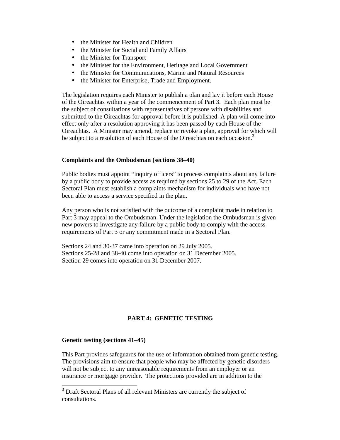- the Minister for Health and Children
- the Minister for Social and Family Affairs
- the Minister for Transport
- the Minister for the Environment, Heritage and Local Government
- the Minister for Communications, Marine and Natural Resources
- the Minister for Enterprise, Trade and Employment.

The legislation requires each Minister to publish a plan and lay it before each House of the Oireachtas within a year of the commencement of Part 3. Each plan must be the subject of consultations with representatives of persons with disabilities and submitted to the Oireachtas for approval before it is published. A plan will come into effect only after a resolution approving it has been passed by each House of the Oireachtas. A Minister may amend, replace or revoke a plan, approval for which will be subject to a resolution of each House of the Oireachtas on each occasion.<sup>3</sup>

## **Complaints and the Ombudsman (sections 38–40)**

Public bodies must appoint "inquiry officers" to process complaints about any failure by a public body to provide access as required by sections 25 to 29 of the Act. Each Sectoral Plan must establish a complaints mechanism for individuals who have not been able to access a service specified in the plan.

Any person who is not satisfied with the outcome of a complaint made in relation to Part 3 may appeal to the Ombudsman. Under the legislation the Ombudsman is given new powers to investigate any failure by a public body to comply with the access requirements of Part 3 or any commitment made in a Sectoral Plan.

Sections 24 and 30-37 came into operation on 29 July 2005. Sections 25-28 and 38-40 come into operation on 31 December 2005. Section 29 comes into operation on 31 December 2007.

## **PART 4: GENETIC TESTING**

## **Genetic testing (sections 41–45)**

-

This Part provides safeguards for the use of information obtained from genetic testing. The provisions aim to ensure that people who may be affected by genetic disorders will not be subject to any unreasonable requirements from an employer or an insurance or mortgage provider. The protections provided are in addition to the

 $3$  Draft Sectoral Plans of all relevant Ministers are currently the subject of consultations.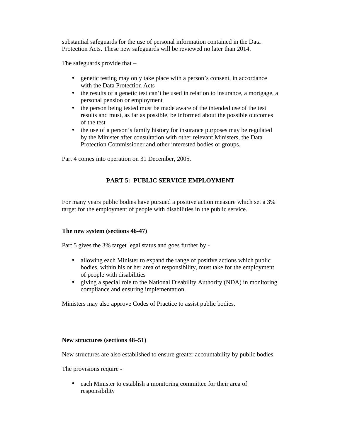substantial safeguards for the use of personal information contained in the Data Protection Acts. These new safeguards will be reviewed no later than 2014.

The safeguards provide that –

- genetic testing may only take place with a person's consent, in accordance with the Data Protection Acts
- the results of a genetic test can't be used in relation to insurance, a mortgage, a personal pension or employment
- the person being tested must be made aware of the intended use of the test results and must, as far as possible, be informed about the possible outcomes of the test
- the use of a person's family history for insurance purposes may be regulated by the Minister after consultation with other relevant Ministers, the Data Protection Commissioner and other interested bodies or groups.

Part 4 comes into operation on 31 December, 2005.

## **PART 5: PUBLIC SERVICE EMPLOYMENT**

For many years public bodies have pursued a positive action measure which set a 3% target for the employment of people with disabilities in the public service.

## **The new system (sections 46-47)**

Part 5 gives the 3% target legal status and goes further by -

- allowing each Minister to expand the range of positive actions which public bodies, within his or her area of responsibility, must take for the employment of people with disabilities
- giving a special role to the National Disability Authority (NDA) in monitoring compliance and ensuring implementation.

Ministers may also approve Codes of Practice to assist public bodies.

#### **New structures (sections 48–51)**

New structures are also established to ensure greater accountability by public bodies.

The provisions require -

• each Minister to establish a monitoring committee for their area of responsibility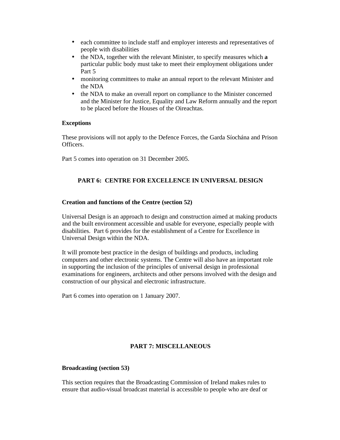- each committee to include staff and employer interests and representatives of people with disabilities
- the NDA, together with the relevant Minister, to specify measures which **a**  particular public body must take to meet their employment obligations under Part 5
- monitoring committees to make an annual report to the relevant Minister and the NDA
- the NDA to make an overall report on compliance to the Minister concerned and the Minister for Justice, Equality and Law Reform annually and the report to be placed before the Houses of the Oireachtas.

## **Exceptions**

These provisions will not apply to the Defence Forces, the Garda Síochána and Prison Officers.

Part 5 comes into operation on 31 December 2005.

## **PART 6: CENTRE FOR EXCELLENCE IN UNIVERSAL DESIGN**

#### **Creation and functions of the Centre (section 52)**

Universal Design is an approach to design and construction aimed at making products and the built environment accessible and usable for everyone, especially people with disabilities. Part 6 provides for the establishment of a Centre for Excellence in Universal Design within the NDA.

It will promote best practice in the design of buildings and products, including computers and other electronic systems. The Centre will also have an important role in supporting the inclusion of the principles of universal design in professional examinations for engineers, architects and other persons involved with the design and construction of our physical and electronic infrastructure.

Part 6 comes into operation on 1 January 2007.

## **PART 7: MISCELLANEOUS**

#### **Broadcasting (section 53)**

This section requires that the Broadcasting Commission of Ireland makes rules to ensure that audio-visual broadcast material is accessible to people who are deaf or